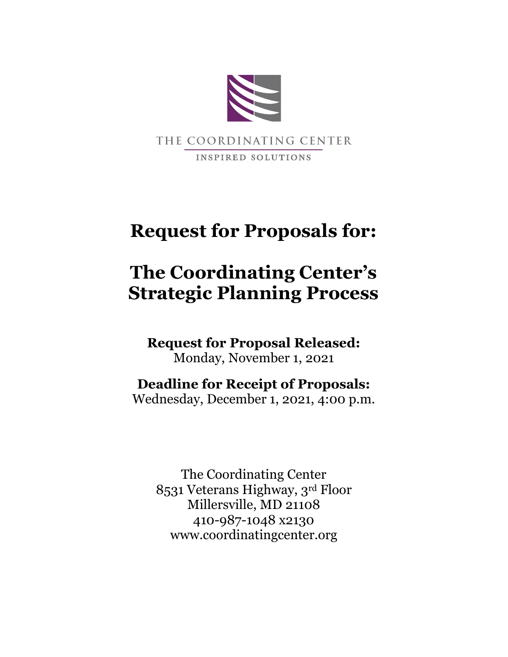

# **Request for Proposals for:**

# **The Coordinating Center's Strategic Planning Process**

**Request for Proposal Released:** Monday, November 1, 2021

**Deadline for Receipt of Proposals:** Wednesday, December 1, 2021, 4:00 p.m.

The Coordinating Center 8531 Veterans Highway, 3rd Floor Millersville, MD 21108 410-987-1048 x2130 www.coordinatingcenter.org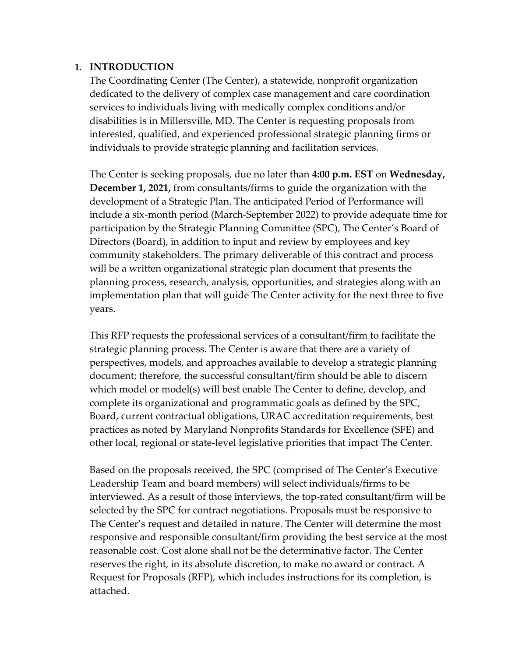## **1. INTRODUCTION**

The Coordinating Center (The Center), a statewide, nonprofit organization dedicated to the delivery of complex case management and care coordination services to individuals living with medically complex conditions and/or disabilities is in Millersville, MD. The Center is requesting proposals from interested, qualified, and experienced professional strategic planning firms or individuals to provide strategic planning and facilitation services.

The Center is seeking proposals, due no later than **4:00 p.m. EST** on **Wednesday, December 1, 2021,** from consultants/firms to guide the organization with the development of a Strategic Plan. The anticipated Period of Performance will include a six-month period (March-September 2022) to provide adequate time for participation by the Strategic Planning Committee (SPC), The Center's Board of Directors (Board), in addition to input and review by employees and key community stakeholders. The primary deliverable of this contract and process will be a written organizational strategic plan document that presents the planning process, research, analysis, opportunities, and strategies along with an implementation plan that will guide The Center activity for the next three to five years.

This RFP requests the professional services of a consultant/firm to facilitate the strategic planning process. The Center is aware that there are a variety of perspectives, models, and approaches available to develop a strategic planning document; therefore, the successful consultant/firm should be able to discern which model or model(s) will best enable The Center to define, develop, and complete its organizational and programmatic goals as defined by the SPC, Board, current contractual obligations, URAC accreditation requirements, best practices as noted by Maryland Nonprofits Standards for Excellence (SFE) and other local, regional or state-level legislative priorities that impact The Center.

Based on the proposals received, the SPC (comprised of The Center's Executive Leadership Team and board members) will select individuals/firms to be interviewed. As a result of those interviews, the top‐rated consultant/firm will be selected by the SPC for contract negotiations. Proposals must be responsive to The Center's request and detailed in nature. The Center will determine the most responsive and responsible consultant/firm providing the best service at the most reasonable cost. Cost alone shall not be the determinative factor. The Center reserves the right, in its absolute discretion, to make no award or contract. A Request for Proposals (RFP), which includes instructions for its completion, is attached.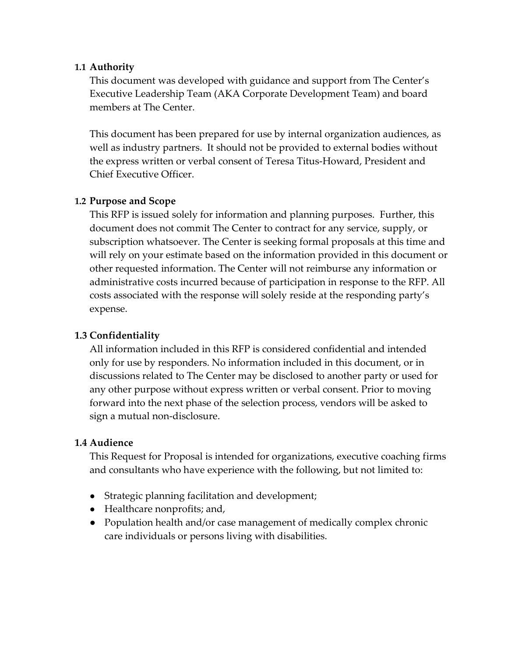## **1.1 Authority**

This document was developed with guidance and support from The Center's Executive Leadership Team (AKA Corporate Development Team) and board members at The Center.

This document has been prepared for use by internal organization audiences, as well as industry partners. It should not be provided to external bodies without the express written or verbal consent of Teresa Titus-Howard, President and Chief Executive Officer.

# **1.2 Purpose and Scope**

This RFP is issued solely for information and planning purposes. Further, this document does not commit The Center to contract for any service, supply, or subscription whatsoever. The Center is seeking formal proposals at this time and will rely on your estimate based on the information provided in this document or other requested information. The Center will not reimburse any information or administrative costs incurred because of participation in response to the RFP. All costs associated with the response will solely reside at the responding party's expense.

# **1.3 Confidentiality**

All information included in this RFP is considered confidential and intended only for use by responders. No information included in this document, or in discussions related to The Center may be disclosed to another party or used for any other purpose without express written or verbal consent. Prior to moving forward into the next phase of the selection process, vendors will be asked to sign a mutual non-disclosure.

### **1.4 Audience**

This Request for Proposal is intended for organizations, executive coaching firms and consultants who have experience with the following, but not limited to:

- Strategic planning facilitation and development;
- Healthcare nonprofits; and,
- Population health and/or case management of medically complex chronic care individuals or persons living with disabilities.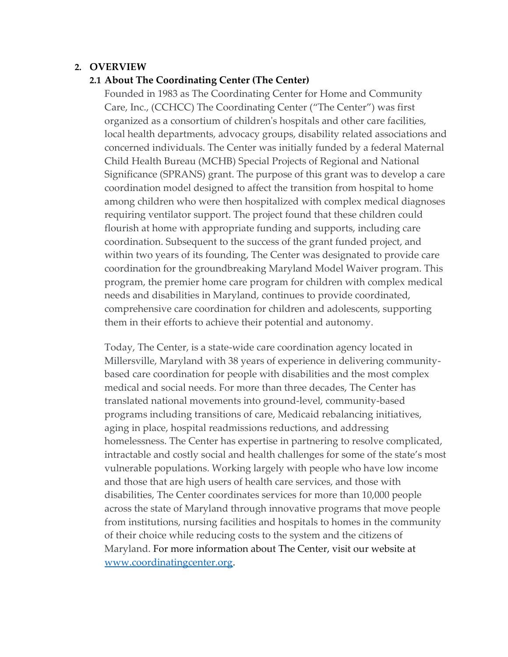## **2. OVERVIEW**

### **2.1 About The Coordinating Center (The Center)**

Founded in 1983 as The Coordinating Center for Home and Community Care, Inc., (CCHCC) The Coordinating Center ("The Center") was first organized as a consortium of children's hospitals and other care facilities, local health departments, advocacy groups, disability related associations and concerned individuals. The Center was initially funded by a federal Maternal Child Health Bureau (MCHB) Special Projects of Regional and National Significance (SPRANS) grant. The purpose of this grant was to develop a care coordination model designed to affect the transition from hospital to home among children who were then hospitalized with complex medical diagnoses requiring ventilator support. The project found that these children could flourish at home with appropriate funding and supports, including care coordination. Subsequent to the success of the grant funded project, and within two years of its founding, The Center was designated to provide care coordination for the groundbreaking Maryland Model Waiver program. This program, the premier home care program for children with complex medical needs and disabilities in Maryland, continues to provide coordinated, comprehensive care coordination for children and adolescents, supporting them in their efforts to achieve their potential and autonomy.

Today, The Center, is a state-wide care coordination agency located in Millersville, Maryland with 38 years of experience in delivering communitybased care coordination for people with disabilities and the most complex medical and social needs. For more than three decades, The Center has translated national movements into ground-level, community-based programs including transitions of care, Medicaid rebalancing initiatives, aging in place, hospital readmissions reductions, and addressing homelessness. The Center has expertise in partnering to resolve complicated, intractable and costly social and health challenges for some of the state's most vulnerable populations. Working largely with people who have low income and those that are high users of health care services, and those with disabilities, The Center coordinates services for more than 10,000 people across the state of Maryland through innovative programs that move people from institutions, nursing facilities and hospitals to homes in the community of their choice while reducing costs to the system and the citizens of Maryland. For more information about The Center, visit our website at [www.coordinatingcenter.org.](http://www.coordinatingcenter.org/)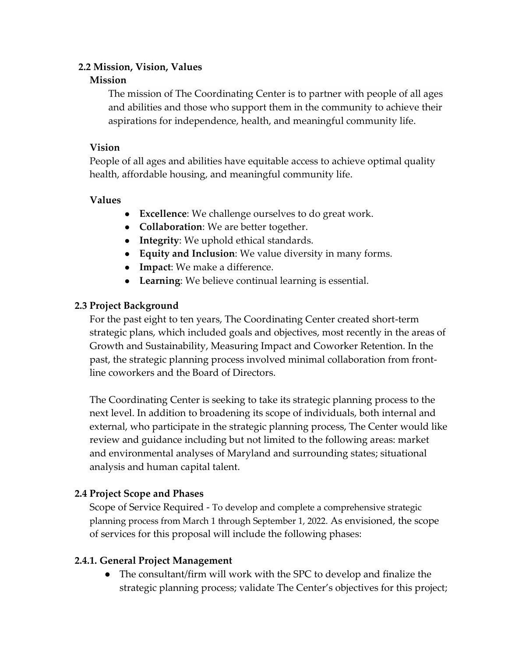# **2.2 Mission, Vision, Values**

## **Mission**

The mission of The Coordinating Center is to partner with people of all ages and abilities and those who support them in the community to achieve their aspirations for independence, health, and meaningful community life.

# **Vision**

People of all ages and abilities have equitable access to achieve optimal quality health, affordable housing, and meaningful community life.

# **Values**

- **Excellence**: We challenge ourselves to do great work.
- **Collaboration**: We are better together.
- **Integrity**: We uphold ethical standards.
- **Equity and Inclusion**: We value diversity in many forms.
- **Impact**: We make a difference.
- **Learning**: We believe continual learning is essential.

# **2.3 Project Background**

For the past eight to ten years, The Coordinating Center created short-term strategic plans, which included goals and objectives, most recently in the areas of Growth and Sustainability, Measuring Impact and Coworker Retention. In the past, the strategic planning process involved minimal collaboration from frontline coworkers and the Board of Directors.

The Coordinating Center is seeking to take its strategic planning process to the next level. In addition to broadening its scope of individuals, both internal and external, who participate in the strategic planning process, The Center would like review and guidance including but not limited to the following areas: market and environmental analyses of Maryland and surrounding states; situational analysis and human capital talent.

# **2.4 Project Scope and Phases**

Scope of Service Required - To develop and complete a comprehensive strategic planning process from March 1 through September 1, 2022. As envisioned, the scope of services for this proposal will include the following phases:

# **2.4.1. General Project Management**

● The consultant/firm will work with the SPC to develop and finalize the strategic planning process; validate The Center's objectives for this project;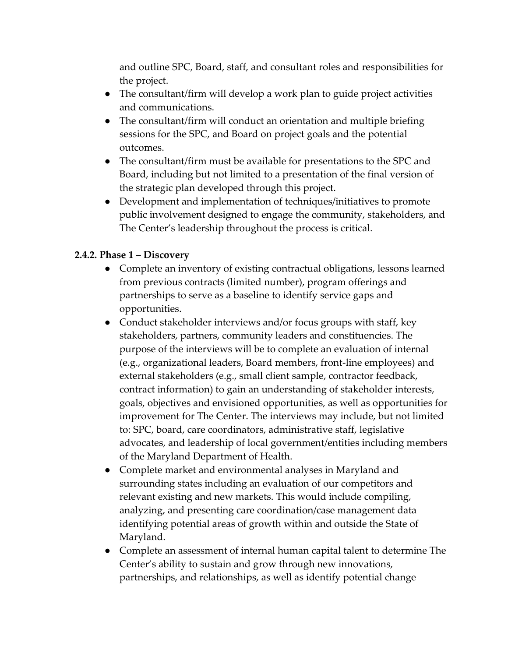and outline SPC, Board, staff, and consultant roles and responsibilities for the project.

- The consultant/firm will develop a work plan to guide project activities and communications.
- The consultant/firm will conduct an orientation and multiple briefing sessions for the SPC, and Board on project goals and the potential outcomes.
- The consultant/firm must be available for presentations to the SPC and Board, including but not limited to a presentation of the final version of the strategic plan developed through this project.
- Development and implementation of techniques/initiatives to promote public involvement designed to engage the community, stakeholders, and The Center's leadership throughout the process is critical.

# **2.4.2. Phase 1 – Discovery**

- Complete an inventory of existing contractual obligations, lessons learned from previous contracts (limited number), program offerings and partnerships to serve as a baseline to identify service gaps and opportunities.
- Conduct stakeholder interviews and/or focus groups with staff, key stakeholders, partners, community leaders and constituencies. The purpose of the interviews will be to complete an evaluation of internal (e.g., organizational leaders, Board members, front-line employees) and external stakeholders (e.g., small client sample, contractor feedback, contract information) to gain an understanding of stakeholder interests, goals, objectives and envisioned opportunities, as well as opportunities for improvement for The Center. The interviews may include, but not limited to: SPC, board, care coordinators, administrative staff, legislative advocates, and leadership of local government/entities including members of the Maryland Department of Health.
- Complete market and environmental analyses in Maryland and surrounding states including an evaluation of our competitors and relevant existing and new markets. This would include compiling, analyzing, and presenting care coordination/case management data identifying potential areas of growth within and outside the State of Maryland.
- Complete an assessment of internal human capital talent to determine The Center's ability to sustain and grow through new innovations, partnerships, and relationships, as well as identify potential change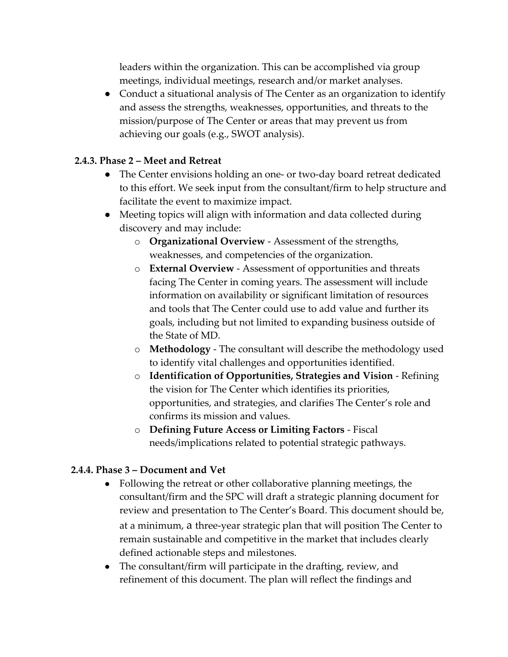leaders within the organization. This can be accomplished via group meetings, individual meetings, research and/or market analyses.

• Conduct a situational analysis of The Center as an organization to identify and assess the strengths, weaknesses, opportunities, and threats to the mission/purpose of The Center or areas that may prevent us from achieving our goals (e.g., SWOT analysis).

# **2.4.3. Phase 2 – Meet and Retreat**

- The Center envisions holding an one- or two-day board retreat dedicated to this effort. We seek input from the consultant/firm to help structure and facilitate the event to maximize impact.
- Meeting topics will align with information and data collected during discovery and may include:
	- o **Organizational Overview** ‐ Assessment of the strengths, weaknesses, and competencies of the organization.
	- o **External Overview** Assessment of opportunities and threats facing The Center in coming years. The assessment will include information on availability or significant limitation of resources and tools that The Center could use to add value and further its goals, including but not limited to expanding business outside of the State of MD.
	- o **Methodology**  The consultant will describe the methodology used to identify vital challenges and opportunities identified.
	- o **Identification of Opportunities, Strategies and Vision** ‐ Refining the vision for The Center which identifies its priorities, opportunities, and strategies, and clarifies The Center's role and confirms its mission and values.
	- o **Defining Future Access or Limiting Factors** Fiscal needs/implications related to potential strategic pathways.

# **2.4.4. Phase 3 – Document and Vet**

- Following the retreat or other collaborative planning meetings, the consultant/firm and the SPC will draft a strategic planning document for review and presentation to The Center's Board. This document should be, at a minimum, a three-year strategic plan that will position The Center to remain sustainable and competitive in the market that includes clearly defined actionable steps and milestones.
- The consultant/firm will participate in the drafting, review, and refinement of this document. The plan will reflect the findings and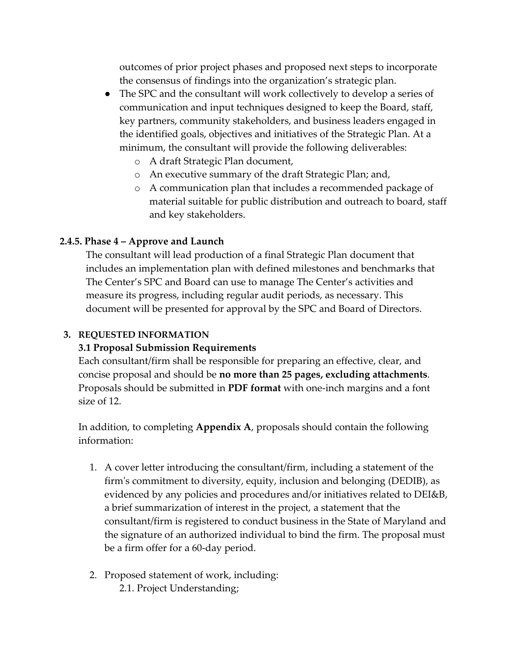outcomes of prior project phases and proposed next steps to incorporate the consensus of findings into the organization's strategic plan.

- The SPC and the consultant will work collectively to develop a series of communication and input techniques designed to keep the Board, staff, key partners, community stakeholders, and business leaders engaged in the identified goals, objectives and initiatives of the Strategic Plan. At a minimum, the consultant will provide the following deliverables:
	- o A draft Strategic Plan document,
	- o An executive summary of the draft Strategic Plan; and,
	- o A communication plan that includes a recommended package of material suitable for public distribution and outreach to board, staff and key stakeholders.

# **2.4.5. Phase 4 – Approve and Launch**

The consultant will lead production of a final Strategic Plan document that includes an implementation plan with defined milestones and benchmarks that The Center's SPC and Board can use to manage The Center's activities and measure its progress, including regular audit periods, as necessary. This document will be presented for approval by the SPC and Board of Directors.

# **3. REQUESTED INFORMATION**

# **3.1 Proposal Submission Requirements**

Each consultant/firm shall be responsible for preparing an effective, clear, and concise proposal and should be **no more than 25 pages, excluding attachments**. Proposals should be submitted in **PDF format** with one-inch margins and a font size of 12.

In addition, to completing **Appendix A**, proposals should contain the following information:

- 1. A cover letter introducing the consultant/firm, including a statement of the firm's commitment to diversity, equity, inclusion and belonging (DEDIB), as evidenced by any policies and procedures and/or initiatives related to DEI&B, a brief summarization of interest in the project, a statement that the consultant/firm is registered to conduct business in the State of Maryland and the signature of an authorized individual to bind the firm. The proposal must be a firm offer for a 60-day period.
- 2. Proposed statement of work, including: 2.1. Project Understanding;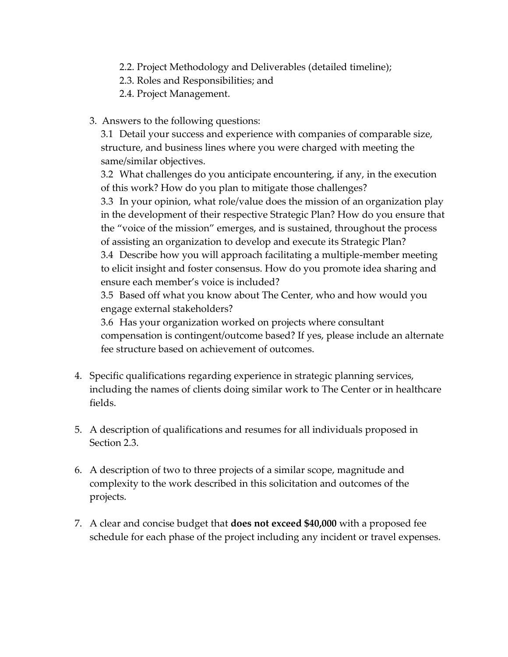- 2.2. Project Methodology and Deliverables (detailed timeline);
- 2.3. Roles and Responsibilities; and
- 2.4. Project Management.
- 3. Answers to the following questions:

3.1 Detail your success and experience with companies of comparable size, structure, and business lines where you were charged with meeting the same/similar objectives.

3.2 What challenges do you anticipate encountering, if any, in the execution of this work? How do you plan to mitigate those challenges?

3.3 In your opinion, what role/value does the mission of an organization play in the development of their respective Strategic Plan? How do you ensure that the "voice of the mission" emerges, and is sustained, throughout the process of assisting an organization to develop and execute its Strategic Plan?

3.4 Describe how you will approach facilitating a multiple-member meeting to elicit insight and foster consensus. How do you promote idea sharing and ensure each member's voice is included?

3.5 Based off what you know about The Center, who and how would you engage external stakeholders?

3.6 Has your organization worked on projects where consultant compensation is contingent/outcome based? If yes, please include an alternate fee structure based on achievement of outcomes.

- 4. Specific qualifications regarding experience in strategic planning services, including the names of clients doing similar work to The Center or in healthcare fields.
- 5. A description of qualifications and resumes for all individuals proposed in Section 2.3.
- 6. A description of two to three projects of a similar scope, magnitude and complexity to the work described in this solicitation and outcomes of the projects.
- 7. A clear and concise budget that **does not exceed \$40,000** with a proposed fee schedule for each phase of the project including any incident or travel expenses.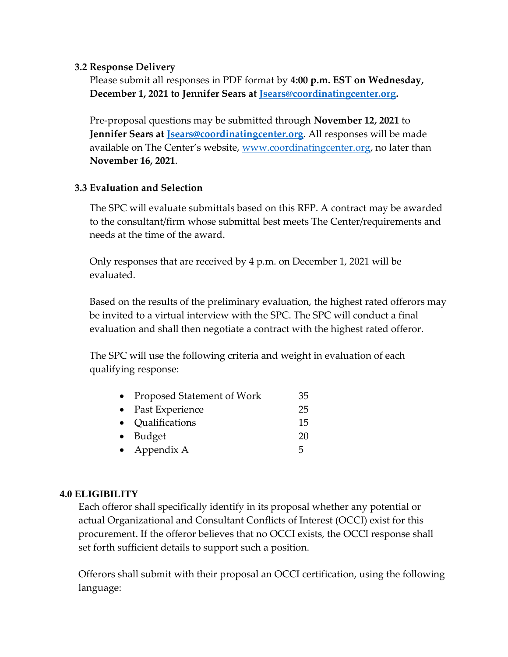## **3.2 Response Delivery**

Please submit all responses in PDF format by **4:00 p.m. EST on Wednesday, December 1, 2021 to Jennifer Sears at [Jsears@coordinatingcenter.org.](mailto:Jsears@coordinatingcenter.org)** 

Pre-proposal questions may be submitted through **November 12, 2021** to **Jennifer Sears at [Jsears@coordinatingcenter.org](mailto:Jsears@coordinatingcenter.org)**. All responses will be made available on The Center's website, [www.coordinatingcenter.org,](http://www.coordinatingcenter.org/) no later than **November 16, 2021**.

# **3.3 Evaluation and Selection**

The SPC will evaluate submittals based on this RFP. A contract may be awarded to the consultant/firm whose submittal best meets The Center/requirements and needs at the time of the award.

Only responses that are received by 4 p.m. on December 1, 2021 will be evaluated.

Based on the results of the preliminary evaluation, the highest rated offerors may be invited to a virtual interview with the SPC. The SPC will conduct a final evaluation and shall then negotiate a contract with the highest rated offeror.

The SPC will use the following criteria and weight in evaluation of each qualifying response:

| • Proposed Statement of Work | 35 |
|------------------------------|----|
| • Past Experience            | 25 |
| • Qualifications             | 15 |
| $\bullet$ Budget             | 20 |
| • Appendix A                 | 5  |

### **4.0 ELIGIBILITY**

Each offeror shall specifically identify in its proposal whether any potential or actual Organizational and Consultant Conflicts of Interest (OCCI) exist for this procurement. If the offeror believes that no OCCI exists, the OCCI response shall set forth sufficient details to support such a position.

Offerors shall submit with their proposal an OCCI certification, using the following language: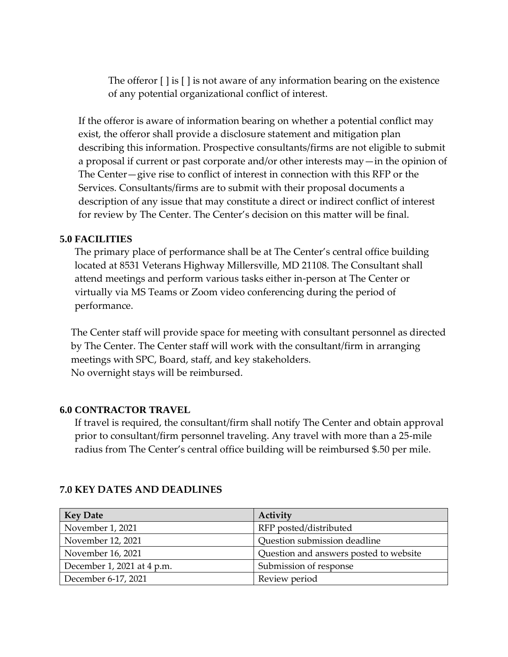The offeror [ ] is [ ] is not aware of any information bearing on the existence of any potential organizational conflict of interest.

If the offeror is aware of information bearing on whether a potential conflict may exist, the offeror shall provide a disclosure statement and mitigation plan describing this information. Prospective consultants/firms are not eligible to submit a proposal if current or past corporate and/or other interests may—in the opinion of The Center—give rise to conflict of interest in connection with this RFP or the Services. Consultants/firms are to submit with their proposal documents a description of any issue that may constitute a direct or indirect conflict of interest for review by The Center. The Center's decision on this matter will be final.

#### **5.0 FACILITIES**

The primary place of performance shall be at The Center's central office building located at 8531 Veterans Highway Millersville, MD 21108. The Consultant shall attend meetings and perform various tasks either in-person at The Center or virtually via MS Teams or Zoom video conferencing during the period of performance.

The Center staff will provide space for meeting with consultant personnel as directed by The Center. The Center staff will work with the consultant/firm in arranging meetings with SPC, Board, staff, and key stakeholders. No overnight stays will be reimbursed.

#### **6.0 CONTRACTOR TRAVEL**

If travel is required, the consultant/firm shall notify The Center and obtain approval prior to consultant/firm personnel traveling. Any travel with more than a 25-mile radius from The Center's central office building will be reimbursed \$.50 per mile.

| <b>Key Date</b>            | Activity                               |
|----------------------------|----------------------------------------|
| November 1, 2021           | RFP posted/distributed                 |
| November 12, 2021          | Question submission deadline           |
| November 16, 2021          | Question and answers posted to website |
| December 1, 2021 at 4 p.m. | Submission of response                 |
| December 6-17, 2021        | Review period                          |

#### **7.0 KEY DATES AND DEADLINES**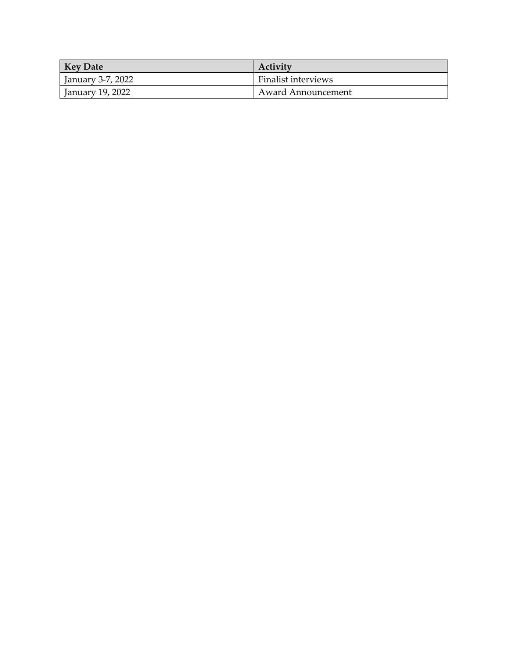| <b>Key Date</b>   | Activity                   |
|-------------------|----------------------------|
| January 3-7, 2022 | <b>Finalist interviews</b> |
| January 19, 2022  | Award Announcement         |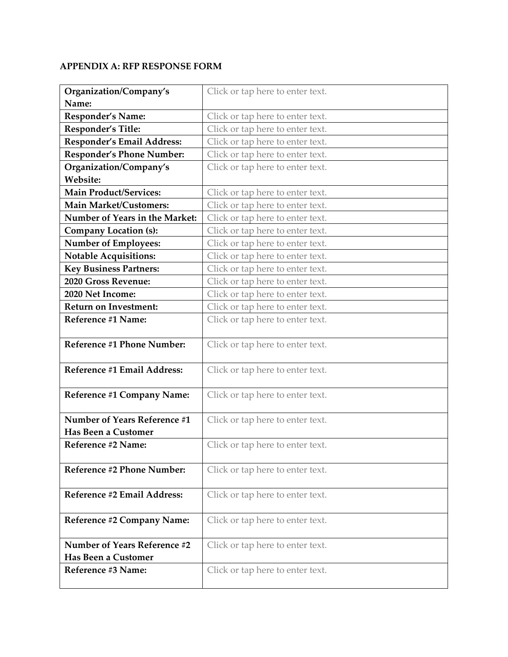#### **APPENDIX A: RFP RESPONSE FORM**

| Organization/Company's              | Click or tap here to enter text. |
|-------------------------------------|----------------------------------|
| Name:                               |                                  |
| Responder's Name:                   | Click or tap here to enter text. |
| Responder's Title:                  | Click or tap here to enter text. |
| Responder's Email Address:          | Click or tap here to enter text. |
| Responder's Phone Number:           | Click or tap here to enter text. |
| Organization/Company's              | Click or tap here to enter text. |
| Website:                            |                                  |
| <b>Main Product/Services:</b>       | Click or tap here to enter text. |
| <b>Main Market/Customers:</b>       | Click or tap here to enter text. |
| Number of Years in the Market:      | Click or tap here to enter text. |
| <b>Company Location (s):</b>        | Click or tap here to enter text. |
| <b>Number of Employees:</b>         | Click or tap here to enter text. |
| <b>Notable Acquisitions:</b>        | Click or tap here to enter text. |
| <b>Key Business Partners:</b>       | Click or tap here to enter text. |
| 2020 Gross Revenue:                 | Click or tap here to enter text. |
| 2020 Net Income:                    | Click or tap here to enter text. |
| <b>Return on Investment:</b>        | Click or tap here to enter text. |
| Reference #1 Name:                  | Click or tap here to enter text. |
|                                     |                                  |
| Reference #1 Phone Number:          | Click or tap here to enter text. |
|                                     |                                  |
| Reference #1 Email Address:         | Click or tap here to enter text. |
|                                     |                                  |
| Reference #1 Company Name:          | Click or tap here to enter text. |
| Number of Years Reference #1        | Click or tap here to enter text. |
| <b>Has Been a Customer</b>          |                                  |
| Reference #2 Name:                  | Click or tap here to enter text. |
|                                     |                                  |
| Reference #2 Phone Number:          | Click or tap here to enter text. |
|                                     |                                  |
| Reference #2 Email Address:         | Click or tap here to enter text. |
|                                     |                                  |
| Reference #2 Company Name:          | Click or tap here to enter text. |
|                                     |                                  |
| <b>Number of Years Reference #2</b> | Click or tap here to enter text. |
| <b>Has Been a Customer</b>          |                                  |
| Reference #3 Name:                  | Click or tap here to enter text. |
|                                     |                                  |